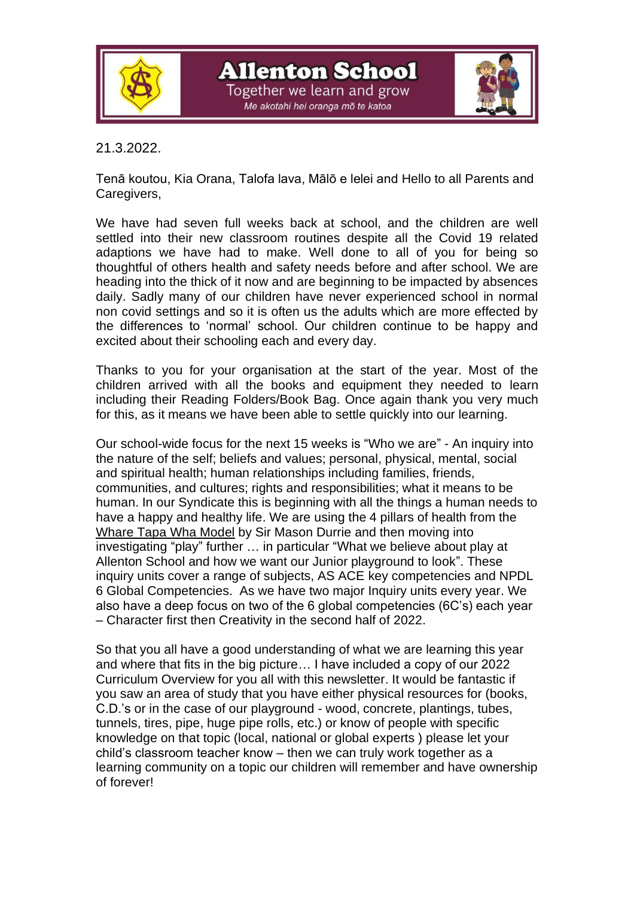

**Allenton School** 

Together we learn and grow .<br>Me akotahi hei oranga mō te katoa



# 21.3.2022.

Tenā koutou, Kia Orana, Talofa lava, Mālō e lelei and Hello to all Parents and Caregivers,

We have had seven full weeks back at school, and the children are well settled into their new classroom routines despite all the Covid 19 related adaptions we have had to make. Well done to all of you for being so thoughtful of others health and safety needs before and after school. We are heading into the thick of it now and are beginning to be impacted by absences daily. Sadly many of our children have never experienced school in normal non covid settings and so it is often us the adults which are more effected by the differences to 'normal' school. Our children continue to be happy and excited about their schooling each and every day.

Thanks to you for your organisation at the start of the year. Most of the children arrived with all the books and equipment they needed to learn including their Reading Folders/Book Bag. Once again thank you very much for this, as it means we have been able to settle quickly into our learning.

Our school-wide focus for the next 15 weeks is "Who we are" - An inquiry into the nature of the self; beliefs and values; personal, physical, mental, social and spiritual health; human relationships including families, friends, communities, and cultures; rights and responsibilities; what it means to be human. In our Syndicate this is beginning with all the things a human needs to have a happy and healthy life. We are using the 4 pillars of health from the Whare Tapa Wha Model by Sir Mason Durrie and then moving into investigating "play" further … in particular "What we believe about play at Allenton School and how we want our Junior playground to look". These inquiry units cover a range of subjects, AS ACE key competencies and NPDL 6 Global Competencies. As we have two major Inquiry units every year. We also have a deep focus on two of the 6 global competencies (6C's) each year – Character first then Creativity in the second half of 2022.

So that you all have a good understanding of what we are learning this year and where that fits in the big picture… I have included a copy of our 2022 Curriculum Overview for you all with this newsletter. It would be fantastic if you saw an area of study that you have either physical resources for (books, C.D.'s or in the case of our playground - wood, concrete, plantings, tubes, tunnels, tires, pipe, huge pipe rolls, etc.) or know of people with specific knowledge on that topic (local, national or global experts ) please let your child's classroom teacher know – then we can truly work together as a learning community on a topic our children will remember and have ownership of forever!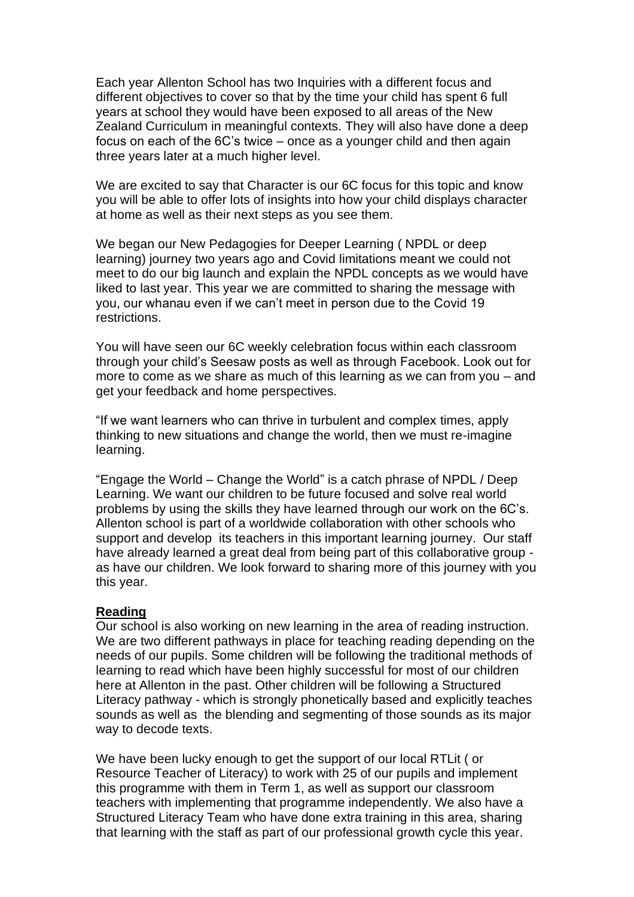Each year Allenton School has two Inquiries with a different focus and different objectives to cover so that by the time your child has spent 6 full years at school they would have been exposed to all areas of the New Zealand Curriculum in meaningful contexts. They will also have done a deep focus on each of the 6C's twice – once as a younger child and then again three years later at a much higher level.

We are excited to say that Character is our 6C focus for this topic and know you will be able to offer lots of insights into how your child displays character at home as well as their next steps as you see them.

We began our New Pedagogies for Deeper Learning ( NPDL or deep learning) journey two years ago and Covid limitations meant we could not meet to do our big launch and explain the NPDL concepts as we would have liked to last year. This year we are committed to sharing the message with you, our whanau even if we can't meet in person due to the Covid 19 restrictions.

You will have seen our 6C weekly celebration focus within each classroom through your child's Seesaw posts as well as through Facebook. Look out for more to come as we share as much of this learning as we can from you – and get your feedback and home perspectives.

"If we want learners who can thrive in turbulent and complex times, apply thinking to new situations and change the world, then we must re-imagine learning.

"Engage the World – Change the World" is a catch phrase of NPDL / Deep Learning. We want our children to be future focused and solve real world problems by using the skills they have learned through our work on the 6C's. Allenton school is part of a worldwide collaboration with other schools who support and develop its teachers in this important learning journey. Our staff have already learned a great deal from being part of this collaborative group as have our children. We look forward to sharing more of this journey with you this year.

#### **Reading**

Our school is also working on new learning in the area of reading instruction. We are two different pathways in place for teaching reading depending on the needs of our pupils. Some children will be following the traditional methods of learning to read which have been highly successful for most of our children here at Allenton in the past. Other children will be following a Structured Literacy pathway - which is strongly phonetically based and explicitly teaches sounds as well as the blending and segmenting of those sounds as its major way to decode texts.

We have been lucky enough to get the support of our local RTLit ( or Resource Teacher of Literacy) to work with 25 of our pupils and implement this programme with them in Term 1, as well as support our classroom teachers with implementing that programme independently. We also have a Structured Literacy Team who have done extra training in this area, sharing that learning with the staff as part of our professional growth cycle this year.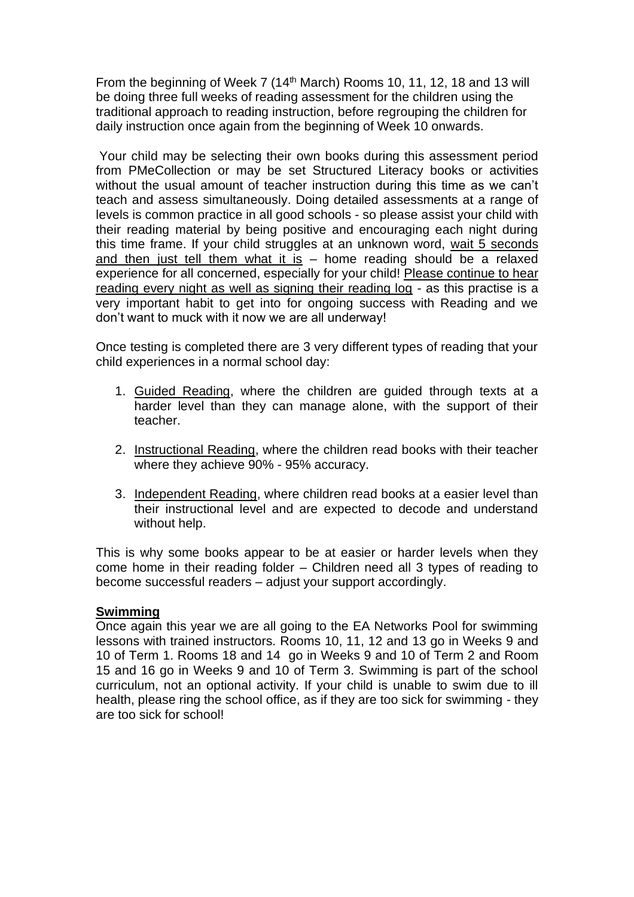From the beginning of Week 7 (14<sup>th</sup> March) Rooms 10, 11, 12, 18 and 13 will be doing three full weeks of reading assessment for the children using the traditional approach to reading instruction, before regrouping the children for daily instruction once again from the beginning of Week 10 onwards.

Your child may be selecting their own books during this assessment period from PMeCollection or may be set Structured Literacy books or activities without the usual amount of teacher instruction during this time as we can't teach and assess simultaneously. Doing detailed assessments at a range of levels is common practice in all good schools - so please assist your child with their reading material by being positive and encouraging each night during this time frame. If your child struggles at an unknown word, wait 5 seconds and then just tell them what it is  $-$  home reading should be a relaxed experience for all concerned, especially for your child! Please continue to hear reading every night as well as signing their reading log - as this practise is a very important habit to get into for ongoing success with Reading and we don't want to muck with it now we are all underway!

Once testing is completed there are 3 very different types of reading that your child experiences in a normal school day:

- 1. Guided Reading, where the children are guided through texts at a harder level than they can manage alone, with the support of their teacher.
- 2. Instructional Reading, where the children read books with their teacher where they achieve 90% - 95% accuracy.
- 3. Independent Reading, where children read books at a easier level than their instructional level and are expected to decode and understand without help.

This is why some books appear to be at easier or harder levels when they come home in their reading folder – Children need all 3 types of reading to become successful readers – adjust your support accordingly.

#### **Swimming**

Once again this year we are all going to the EA Networks Pool for swimming lessons with trained instructors. Rooms 10, 11, 12 and 13 go in Weeks 9 and 10 of Term 1. Rooms 18 and 14 go in Weeks 9 and 10 of Term 2 and Room 15 and 16 go in Weeks 9 and 10 of Term 3. Swimming is part of the school curriculum, not an optional activity. If your child is unable to swim due to ill health, please ring the school office, as if they are too sick for swimming - they are too sick for school!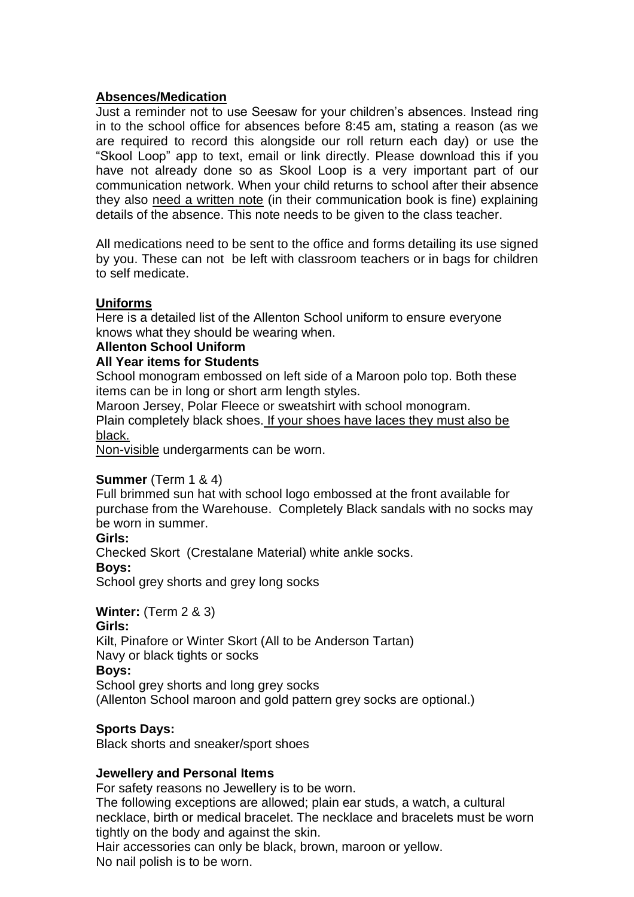# **Absences/Medication**

Just a reminder not to use Seesaw for your children's absences. Instead ring in to the school office for absences before 8:45 am, stating a reason (as we are required to record this alongside our roll return each day) or use the "Skool Loop" app to text, email or link directly. Please download this if you have not already done so as Skool Loop is a very important part of our communication network. When your child returns to school after their absence they also need a written note (in their communication book is fine) explaining details of the absence. This note needs to be given to the class teacher.

All medications need to be sent to the office and forms detailing its use signed by you. These can not be left with classroom teachers or in bags for children to self medicate.

## **Uniforms**

Here is a detailed list of the Allenton School uniform to ensure everyone knows what they should be wearing when.

#### **Allenton School Uniform**

## **All Year items for Students**

School monogram embossed on left side of a Maroon polo top. Both these items can be in long or short arm length styles.

Maroon Jersey, Polar Fleece or sweatshirt with school monogram. Plain completely black shoes. If your shoes have laces they must also be black.

Non-visible undergarments can be worn.

## **Summer** (Term 1 & 4)

Full brimmed sun hat with school logo embossed at the front available for purchase from the Warehouse. Completely Black sandals with no socks may be worn in summer.

## **Girls:**

Checked Skort (Crestalane Material) white ankle socks.

#### **Boys:**

School grey shorts and grey long socks

## **Winter:** (Term 2 & 3)

#### **Girls:**

Kilt, Pinafore or Winter Skort (All to be Anderson Tartan) Navy or black tights or socks

## **Boys:**

School grey shorts and long grey socks (Allenton School maroon and gold pattern grey socks are optional.)

## **Sports Days:**

Black shorts and sneaker/sport shoes

## **Jewellery and Personal Items**

For safety reasons no Jewellery is to be worn.

The following exceptions are allowed; plain ear studs, a watch, a cultural necklace, birth or medical bracelet. The necklace and bracelets must be worn tightly on the body and against the skin.

Hair accessories can only be black, brown, maroon or yellow. No nail polish is to be worn.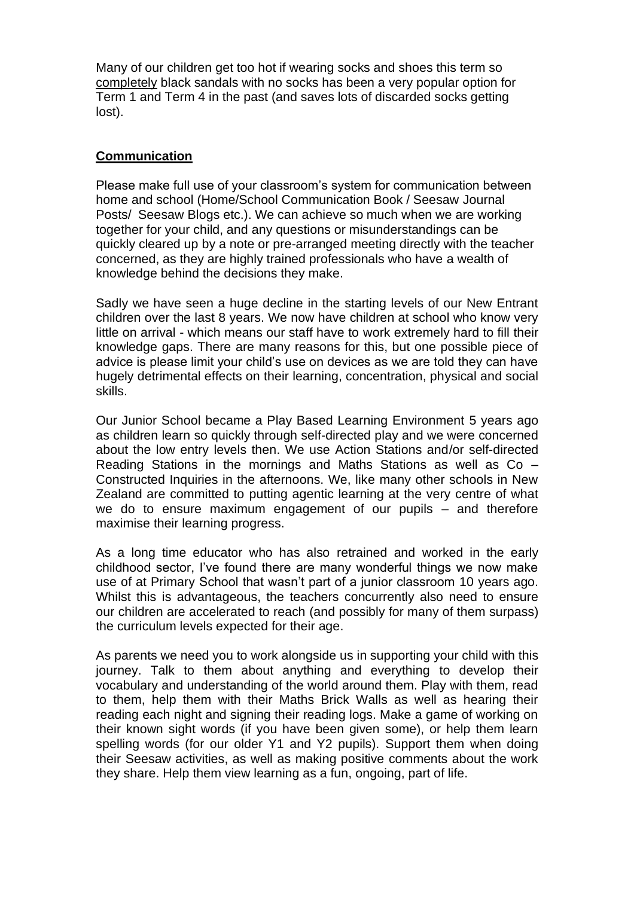Many of our children get too hot if wearing socks and shoes this term so completely black sandals with no socks has been a very popular option for Term 1 and Term 4 in the past (and saves lots of discarded socks getting lost).

## **Communication**

Please make full use of your classroom's system for communication between home and school (Home/School Communication Book / Seesaw Journal Posts/ Seesaw Blogs etc.). We can achieve so much when we are working together for your child, and any questions or misunderstandings can be quickly cleared up by a note or pre-arranged meeting directly with the teacher concerned, as they are highly trained professionals who have a wealth of knowledge behind the decisions they make.

Sadly we have seen a huge decline in the starting levels of our New Entrant children over the last 8 years. We now have children at school who know very little on arrival - which means our staff have to work extremely hard to fill their knowledge gaps. There are many reasons for this, but one possible piece of advice is please limit your child's use on devices as we are told they can have hugely detrimental effects on their learning, concentration, physical and social skills.

Our Junior School became a Play Based Learning Environment 5 years ago as children learn so quickly through self-directed play and we were concerned about the low entry levels then. We use Action Stations and/or self-directed Reading Stations in the mornings and Maths Stations as well as Co – Constructed Inquiries in the afternoons. We, like many other schools in New Zealand are committed to putting agentic learning at the very centre of what we do to ensure maximum engagement of our pupils – and therefore maximise their learning progress.

As a long time educator who has also retrained and worked in the early childhood sector, I've found there are many wonderful things we now make use of at Primary School that wasn't part of a junior classroom 10 years ago. Whilst this is advantageous, the teachers concurrently also need to ensure our children are accelerated to reach (and possibly for many of them surpass) the curriculum levels expected for their age.

As parents we need you to work alongside us in supporting your child with this journey. Talk to them about anything and everything to develop their vocabulary and understanding of the world around them. Play with them, read to them, help them with their Maths Brick Walls as well as hearing their reading each night and signing their reading logs. Make a game of working on their known sight words (if you have been given some), or help them learn spelling words (for our older Y1 and Y2 pupils). Support them when doing their Seesaw activities, as well as making positive comments about the work they share. Help them view learning as a fun, ongoing, part of life.